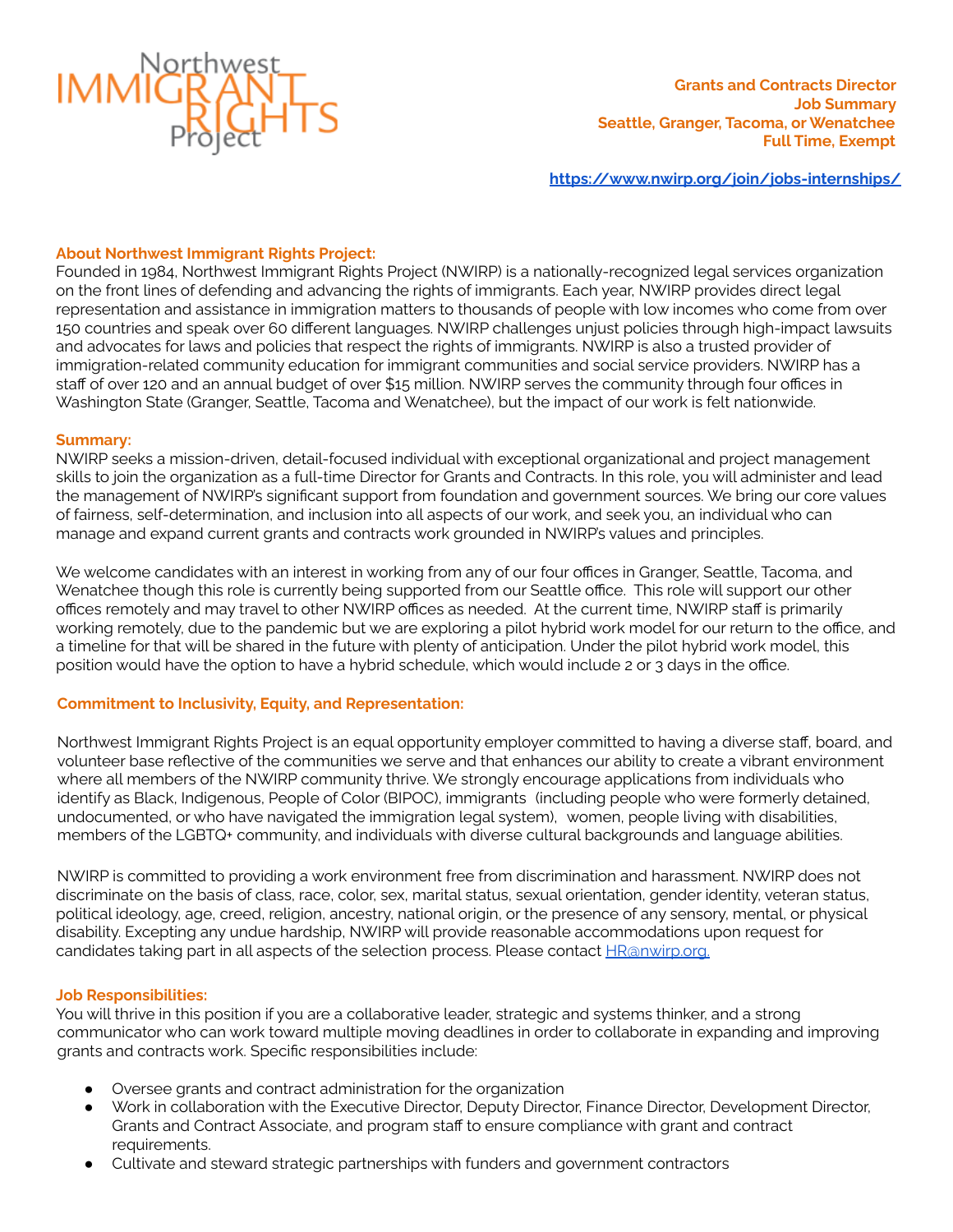

**<https://www.nwirp.org/join/jobs-internships/>**

### **About Northwest Immigrant Rights Project:**

Founded in 1984, Northwest Immigrant Rights Project (NWIRP) is a nationally-recognized legal services organization on the front lines of defending and advancing the rights of immigrants. Each year, NWIRP provides direct legal representation and assistance in immigration matters to thousands of people with low incomes who come from over 150 countries and speak over 60 different languages. NWIRP challenges unjust policies through high-impact lawsuits and advocates for laws and policies that respect the rights of immigrants. NWIRP is also a trusted provider of immigration-related community education for immigrant communities and social service providers. NWIRP has a staff of over 120 and an annual budget of over \$15 million. NWIRP serves the community through four offices in Washington State (Granger, Seattle, Tacoma and Wenatchee), but the impact of our work is felt nationwide.

#### **Summary:**

NWIRP seeks a mission-driven, detail-focused individual with exceptional organizational and project management skills to join the organization as a full-time Director for Grants and Contracts. In this role, you will administer and lead the management of NWIRP's significant support from foundation and government sources. We bring our core values of fairness, self-determination, and inclusion into all aspects of our work, and seek you, an individual who can manage and expand current grants and contracts work grounded in NWIRP's values and principles.

We welcome candidates with an interest in working from any of our four offices in Granger, Seattle, Tacoma, and Wenatchee though this role is currently being supported from our Seattle office. This role will support our other offices remotely and may travel to other NWIRP offices as needed. At the current time, NWIRP staff is primarily working remotely, due to the pandemic but we are exploring a pilot hybrid work model for our return to the office, and a timeline for that will be shared in the future with plenty of anticipation. Under the pilot hybrid work model, this position would have the option to have a hybrid schedule, which would include 2 or 3 days in the office.

### **Commitment to Inclusivity, Equity, and Representation:**

Northwest Immigrant Rights Project is an equal opportunity employer committed to having a diverse staff, board, and volunteer base reflective of the communities we serve and that enhances our ability to create a vibrant environment where all members of the NWIRP community thrive. We strongly encourage applications from individuals who identify as Black, Indigenous, People of Color (BIPOC), immigrants (including people who were formerly detained, undocumented, or who have navigated the immigration legal system), women, people living with disabilities, members of the LGBTQ+ community, and individuals with diverse cultural backgrounds and language abilities.

NWIRP is committed to providing a work environment free from discrimination and harassment. NWIRP does not discriminate on the basis of class, race, color, sex, marital status, sexual orientation, gender identity, veteran status, political ideology, age, creed, religion, ancestry, national origin, or the presence of any sensory, mental, or physical disability. Excepting any undue hardship, NWIRP will provide reasonable accommodations upon request for candidates taking part in all aspects of the selection process. Please contact [HR@nwirp.org.](mailto:hr@nwirp.org)

### **Job Responsibilities:**

You will thrive in this position if you are a collaborative leader, strategic and systems thinker, and a strong communicator who can work toward multiple moving deadlines in order to collaborate in expanding and improving grants and contracts work. Specific responsibilities include:

- Oversee grants and contract administration for the organization
- Work in collaboration with the Executive Director, Deputy Director, Finance Director, Development Director, Grants and Contract Associate, and program staff to ensure compliance with grant and contract requirements.
- Cultivate and steward strategic partnerships with funders and government contractors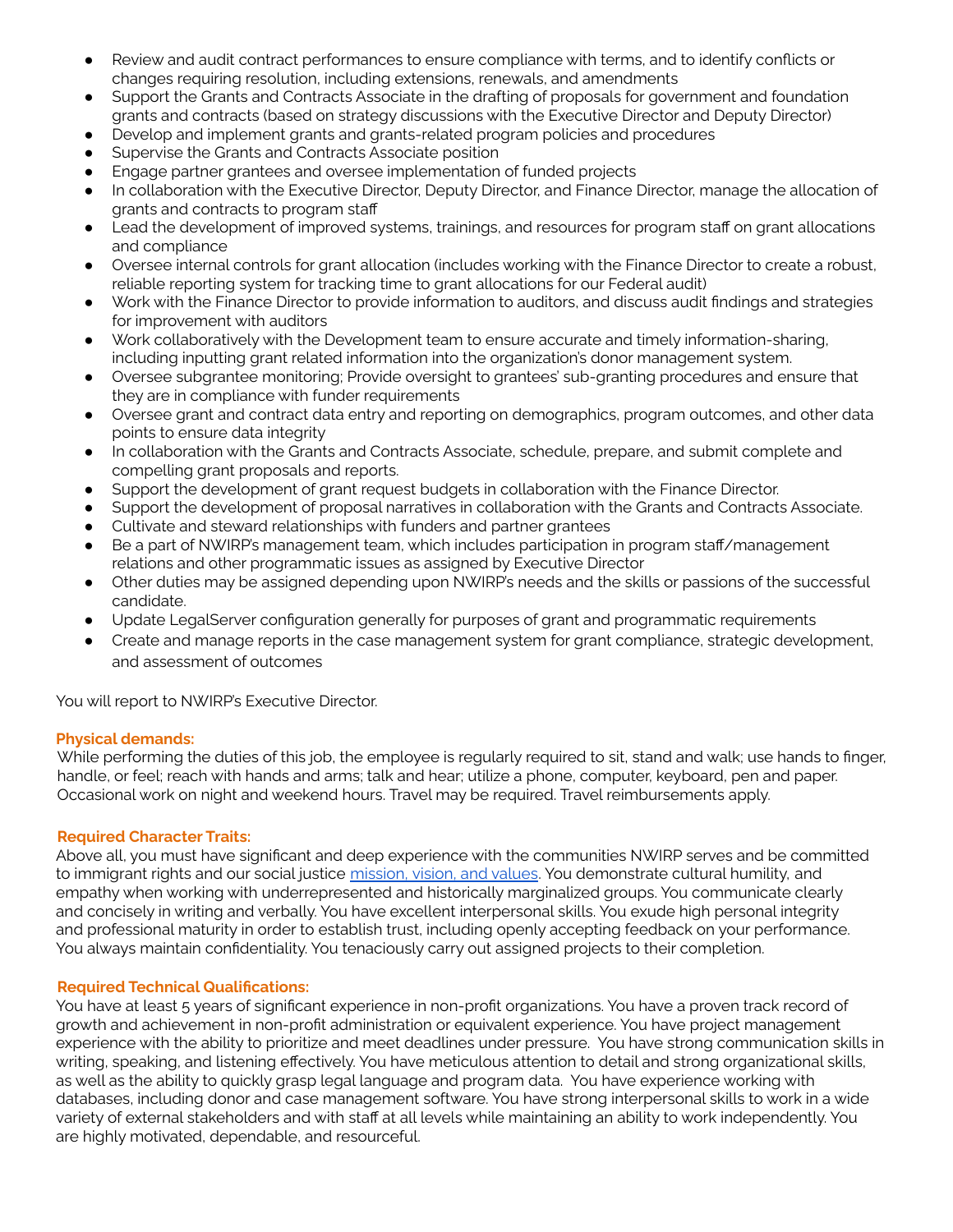- Review and audit contract performances to ensure compliance with terms, and to identify conflicts or changes requiring resolution, including extensions, renewals, and amendments
- Support the Grants and Contracts Associate in the drafting of proposals for government and foundation grants and contracts (based on strategy discussions with the Executive Director and Deputy Director)
- Develop and implement grants and grants-related program policies and procedures
- Supervise the Grants and Contracts Associate position
- Engage partner grantees and oversee implementation of funded projects
- In collaboration with the Executive Director, Deputy Director, and Finance Director, manage the allocation of grants and contracts to program staff
- Lead the development of improved systems, trainings, and resources for program staff on grant allocations and compliance
- Oversee internal controls for grant allocation (includes working with the Finance Director to create a robust, reliable reporting system for tracking time to grant allocations for our Federal audit)
- Work with the Finance Director to provide information to auditors, and discuss audit findings and strategies for improvement with auditors
- Work collaboratively with the Development team to ensure accurate and timely information-sharing, including inputting grant related information into the organization's donor management system.
- Oversee subgrantee monitoring; Provide oversight to grantees' sub-granting procedures and ensure that they are in compliance with funder requirements
- Oversee grant and contract data entry and reporting on demographics, program outcomes, and other data points to ensure data integrity
- In collaboration with the Grants and Contracts Associate, schedule, prepare, and submit complete and compelling grant proposals and reports.
- Support the development of grant request budgets in collaboration with the Finance Director.
- Support the development of proposal narratives in collaboration with the Grants and Contracts Associate.
- Cultivate and steward relationships with funders and partner grantees
- Be a part of NWIRP's management team, which includes participation in program staff/management relations and other programmatic issues as assigned by Executive Director
- Other duties may be assigned depending upon NWIRP's needs and the skills or passions of the successful candidate.
- Update LegalServer configuration generally for purposes of grant and programmatic requirements
- Create and manage reports in the case management system for grant compliance, strategic development, and assessment of outcomes

You will report to NWIRP's Executive Director.

# **Physical demands:**

While performing the duties of this job, the employee is regularly required to sit, stand and walk; use hands to finger, handle, or feel; reach with hands and arms; talk and hear; utilize a phone, computer, keyboard, pen and paper. Occasional work on night and weekend hours. Travel may be required. Travel reimbursements apply.

### **Required Character Traits:**

Above all, you must have significant and deep experience with the communities NWIRP serves and be committed to immigrant rights and our social justice [mission,](https://www.nwirp.org/about/mission/) vision, and values. You demonstrate cultural humility, and empathy when working with underrepresented and historically marginalized groups. You communicate clearly and concisely in writing and verbally. You have excellent interpersonal skills. You exude high personal integrity and professional maturity in order to establish trust, including openly accepting feedback on your performance. You always maintain confidentiality. You tenaciously carry out assigned projects to their completion.

### **Required Technical Qualifications:**

You have at least 5 years of significant experience in non-profit organizations. You have a proven track record of growth and achievement in non-profit administration or equivalent experience. You have project management experience with the ability to prioritize and meet deadlines under pressure. You have strong communication skills in writing, speaking, and listening effectively. You have meticulous attention to detail and strong organizational skills, as well as the ability to quickly grasp legal language and program data. You have experience working with databases, including donor and case management software. You have strong interpersonal skills to work in a wide variety of external stakeholders and with staff at all levels while maintaining an ability to work independently. You are highly motivated, dependable, and resourceful.